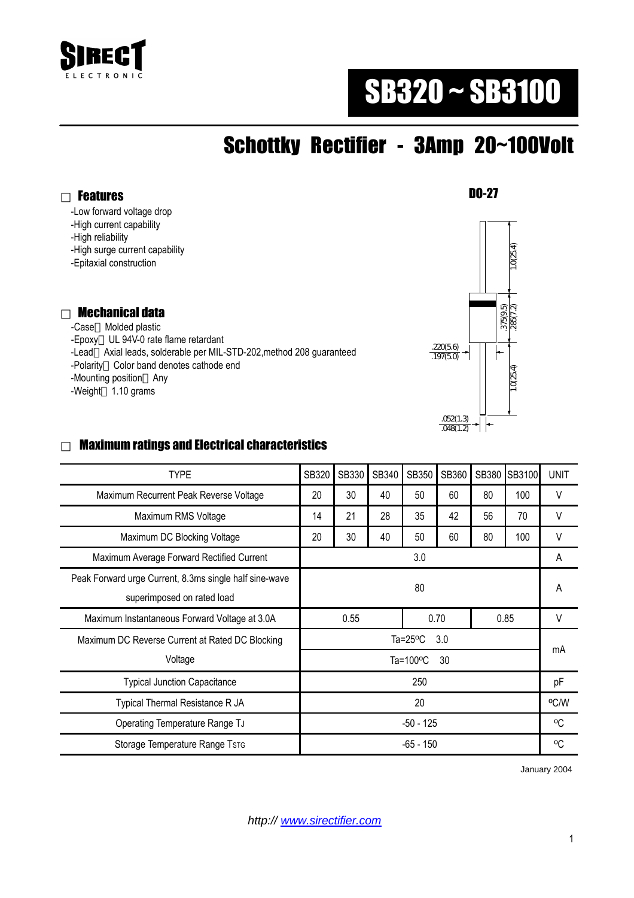

# SB320 ~ SB3100

## Schottky Rectifier - 3Amp 20~100Volt

Features

-Low forward voltage drop

-High current capability

-High reliability

-High surge current capability

-Epitaxial construction

#### Mechanical data

 -Case Molded plastic -Epoxy UL 94V-0 rate flame retardant -Lead Axial leads, solderable per MIL-STD-202,method 208 guaranteed -Polarity Color band denotes cathode end -Mounting position Any -Weight 1.10 grams



#### Maximum ratings and Electrical characteristics

| <b>TYPE</b>                                            | SB320                     | SB330 | SB340 | SB350 | SB360 | SB380 | SB3100 | <b>UNIT</b> |
|--------------------------------------------------------|---------------------------|-------|-------|-------|-------|-------|--------|-------------|
| Maximum Recurrent Peak Reverse Voltage                 | 20                        | 30    | 40    | 50    | 60    | 80    | 100    | V           |
| Maximum RMS Voltage                                    | 14                        | 21    | 28    | 35    | 42    | 56    | 70     | V           |
| Maximum DC Blocking Voltage                            | 20                        | 30    | 40    | 50    | 60    | 80    | 100    | V           |
| Maximum Average Forward Rectified Current              | 3.0                       |       |       |       |       |       |        | A           |
| Peak Forward urge Current, 8.3ms single half sine-wave |                           |       |       |       |       |       |        | A           |
| superimposed on rated load                             | 80                        |       |       |       |       |       |        |             |
| Maximum Instantaneous Forward Voltage at 3.0A          | 0.55                      |       |       | 0.70  |       | 0.85  |        | V           |
| Maximum DC Reverse Current at Rated DC Blocking        | Ta= $25^{\circ}$ C<br>3.0 |       |       |       |       |       |        | mA          |
| Voltage                                                | Ta=100 $\degree$ C<br>30  |       |       |       |       |       |        |             |
| <b>Typical Junction Capacitance</b>                    | 250                       |       |       |       |       |       |        | pF          |
| Typical Thermal Resistance R JA                        | 20                        |       |       |       |       |       |        | °C/W        |
| Operating Temperature Range TJ                         | -50 - 125                 |       |       |       |       |       |        | °C          |
| Storage Temperature Range TsTG                         | -65 - 150                 |       |       |       |       |       |        | °C          |

January 2004